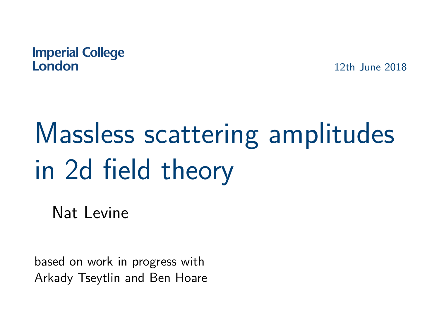#### **Imperial College** London

12th June 2018

# Massless scattering amplitudes in 2d field theory

Nat Levine

based on work in progress with Arkady Tseytlin and Ben Hoare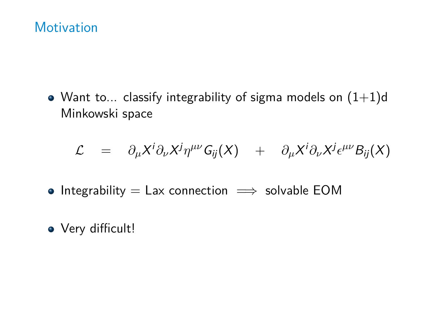### **Motivation**

• Want to... classify integrability of sigma models on  $(1+1)d$ Minkowski space

$$
\mathcal{L} = \partial_{\mu} X^{i} \partial_{\nu} X^{j} \eta^{\mu \nu} G_{ij}(X) + \partial_{\mu} X^{i} \partial_{\nu} X^{j} \epsilon^{\mu \nu} B_{ij}(X)
$$

- Integrability  $=$  Lax connection  $\implies$  solvable EOM
- Very difficult!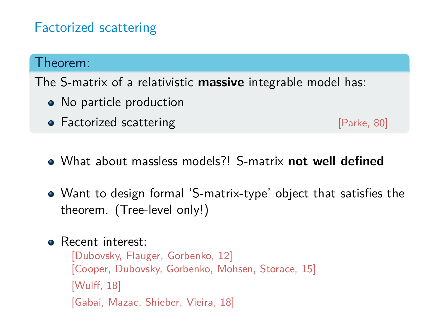## Factorized scattering

#### Theorem:

The S-matrix of a relativistic **massive** integrable model has:

- No particle production
- Factorized scattering **by Executive Contract Contract Contract Contract Contract Contract Contract Contract Contract Contract Contract Contract Contract Contract Contract Contract Contract Contract Contract Contract Cont**

- What about massless models?! S-matrix **not well defined**
- Want to design formal 'S-matrix-type' object that satisfies the theorem. (Tree-level only!)
- **B** Recent interest:

[Dubovsky, Flauger, Gorbenko, 12] [Cooper, Dubovsky, Gorbenko, Mohsen, Storace, 15] [Wulff, 18] [Gabai, Mazac, Shieber, Vieira, 18]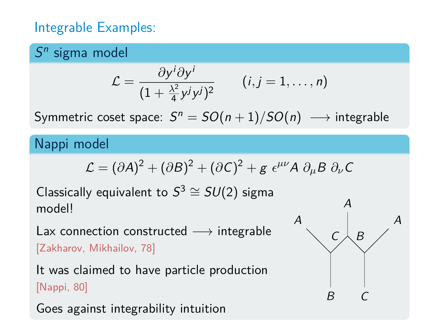## Integrable Examples:

## $S<sup>n</sup>$  sigma model

$$
\mathcal{L} = \frac{\partial y^i \partial y^i}{(1 + \frac{\lambda^2}{4} y^j y^j)^2} \qquad (i, j = 1, \ldots, n)
$$

Symmetric coset space:  $S^n = SO(n+1)/SO(n) \,\longrightarrow$  integrable

#### Nappi model

$$
\mathcal{L} = (\partial A)^2 + (\partial B)^2 + (\partial C)^2 + g \epsilon^{\mu\nu} A \partial_{\mu} B \partial_{\nu} C
$$

Classically equivalent to  $S^3 \cong SU(2)$  sigma model!

Lax connection constructed  $\longrightarrow$  integrable [Zakharov, Mikhailov, 78]

It was claimed to have particle production [Nappi, 80]

Goes against integrability intuition

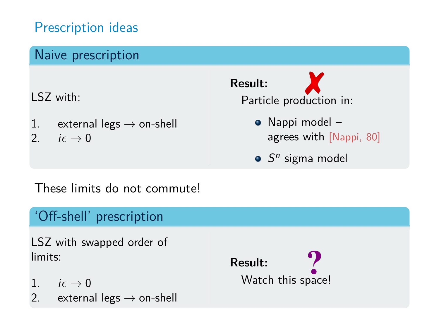## Prescription ideas

## Naive prescription

LSZ with:

- 1. external legs  $\rightarrow$  on-shell
- 2.  $i \epsilon \rightarrow 0$



### These limits do not commute!

#### 'Off-shell' prescription LSZ with swapped order of limits: 1.  $i\epsilon \rightarrow 0$ 2. external legs  $\rightarrow$  on-shell **Result:** Watch this space!